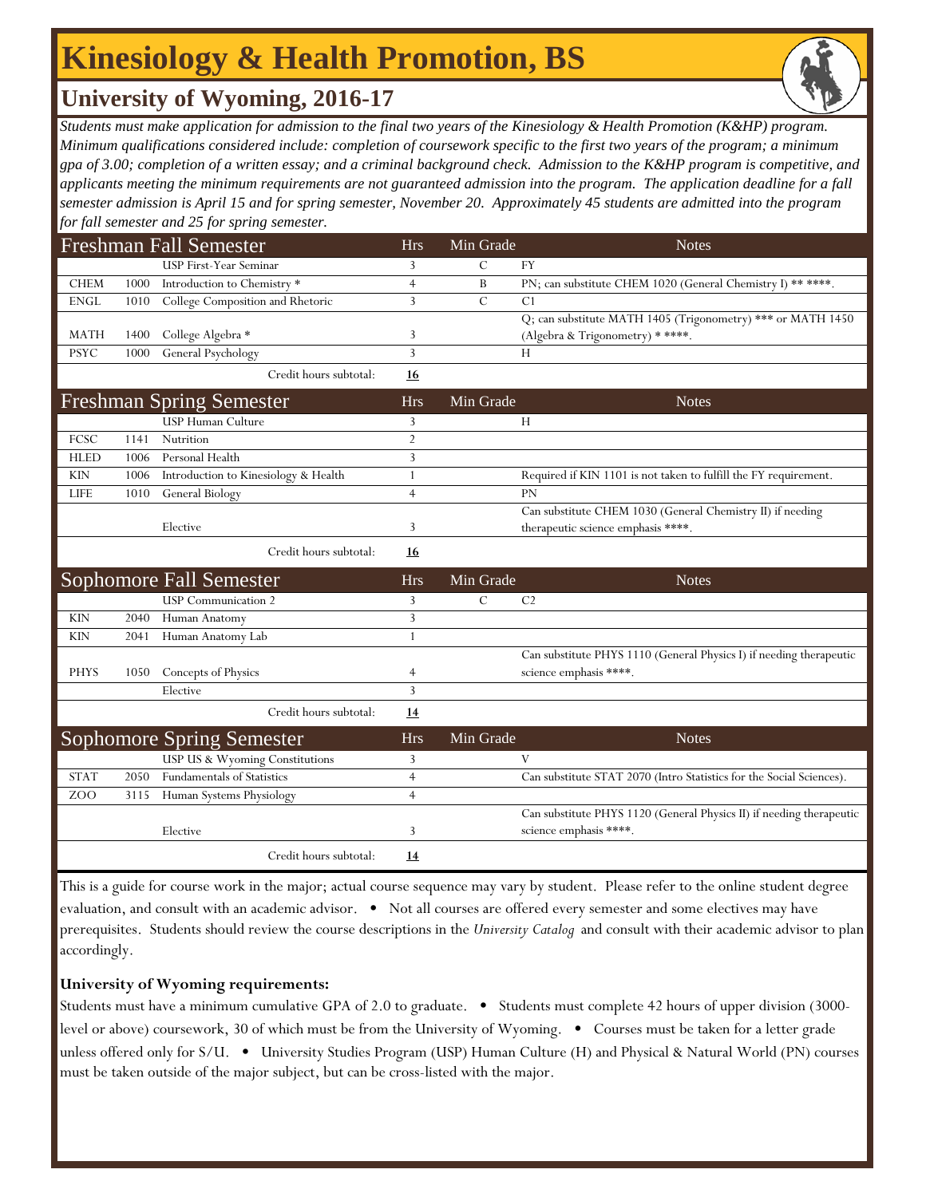## **Kinesiology & Health Promotion, BS**

### **University of Wyoming, 2016-17**

*Students must make application for admission to the final two years of the Kinesiology & Health Promotion (K&HP) program. Minimum qualifications considered include: completion of coursework specific to the first two years of the program; a minimum gpa of 3.00; completion of a written essay; and a criminal background check. Admission to the K&HP program is competitive, and applicants meeting the minimum requirements are not guaranteed admission into the program. The application deadline for a fall semester admission is April 15 and for spring semester, November 20. Approximately 45 students are admitted into the program for fall semester and 25 for spring semester.*

|             |      | <b>Freshman Fall Semester</b>        | <b>Hrs</b>     | Min Grade      | <b>Notes</b>                                                         |
|-------------|------|--------------------------------------|----------------|----------------|----------------------------------------------------------------------|
|             |      | USP First-Year Seminar               | $\overline{3}$ | $\overline{C}$ | <b>FY</b>                                                            |
| <b>CHEM</b> | 1000 | Introduction to Chemistry*           | $\overline{4}$ | B              | PN; can substitute CHEM 1020 (General Chemistry I) ** ****.          |
| <b>ENGL</b> | 1010 | College Composition and Rhetoric     | 3              | $\overline{C}$ | C1                                                                   |
|             |      |                                      |                |                | Q; can substitute MATH 1405 (Trigonometry) *** or MATH 1450          |
| <b>MATH</b> | 1400 | College Algebra *                    | 3              |                | (Algebra & Trigonometry) * ****.                                     |
| <b>PSYC</b> | 1000 | General Psychology                   | 3              |                | H                                                                    |
|             |      | Credit hours subtotal:               | 16             |                |                                                                      |
|             |      | <b>Freshman Spring Semester</b>      | <b>Hrs</b>     | Min Grade      | <b>Notes</b>                                                         |
|             |      | <b>USP Human Culture</b>             | 3              |                | Н                                                                    |
| FCSC        | 1141 | Nutrition                            | $\overline{2}$ |                |                                                                      |
| <b>HLED</b> | 1006 | Personal Health                      | 3              |                |                                                                      |
| <b>KIN</b>  | 1006 | Introduction to Kinesiology & Health | 1              |                | Required if KIN 1101 is not taken to fulfill the FY requirement.     |
| <b>LIFE</b> | 1010 | General Biology                      | $\overline{4}$ |                | <b>PN</b>                                                            |
|             |      |                                      |                |                | Can substitute CHEM 1030 (General Chemistry II) if needing           |
|             |      | Elective                             | 3              |                | therapeutic science emphasis ****.                                   |
|             |      | Credit hours subtotal:               | <u>16</u>      |                |                                                                      |
|             |      | Sophomore Fall Semester              | <b>Hrs</b>     | Min Grade      | <b>Notes</b>                                                         |
|             |      | <b>USP</b> Communication 2           | 3              | C              | C <sub>2</sub>                                                       |
| <b>KIN</b>  | 2040 | Human Anatomy                        | 3              |                |                                                                      |
| <b>KIN</b>  | 2041 | Human Anatomy Lab                    | $\mathbf{1}$   |                |                                                                      |
|             |      |                                      |                |                | Can substitute PHYS 1110 (General Physics I) if needing therapeutic  |
| <b>PHYS</b> | 1050 | Concepts of Physics                  | 4              |                | science emphasis ****.                                               |
|             |      | Elective                             | 3              |                |                                                                      |
|             |      | Credit hours subtotal:               | 14             |                |                                                                      |
|             |      | <b>Sophomore Spring Semester</b>     | Hrs            | Min Grade      | <b>Notes</b>                                                         |
|             |      | USP US & Wyoming Constitutions       | 3              |                | V                                                                    |
| <b>STAT</b> | 2050 | Fundamentals of Statistics           | $\overline{4}$ |                | Can substitute STAT 2070 (Intro Statistics for the Social Sciences). |
| ZOO         | 3115 | Human Systems Physiology             | $\overline{4}$ |                |                                                                      |
|             |      |                                      |                |                | Can substitute PHYS 1120 (General Physics II) if needing therapeutic |
|             |      | Elective                             | 3              |                | science emphasis ****.                                               |
|             |      | Credit hours subtotal:               | <u>14</u>      |                |                                                                      |

This is a guide for course work in the major; actual course sequence may vary by student. Please refer to the online student degree evaluation, and consult with an academic advisor. • Not all courses are offered every semester and some electives may have prerequisites. Students should review the course descriptions in the *University Catalog* and consult with their academic advisor to plan accordingly.

#### **University of Wyoming requirements:**

Students must have a minimum cumulative GPA of 2.0 to graduate. • Students must complete 42 hours of upper division (3000 level or above) coursework, 30 of which must be from the University of Wyoming. • Courses must be taken for a letter grade unless offered only for S/U. • University Studies Program (USP) Human Culture (H) and Physical & Natural World (PN) courses must be taken outside of the major subject, but can be cross-listed with the major.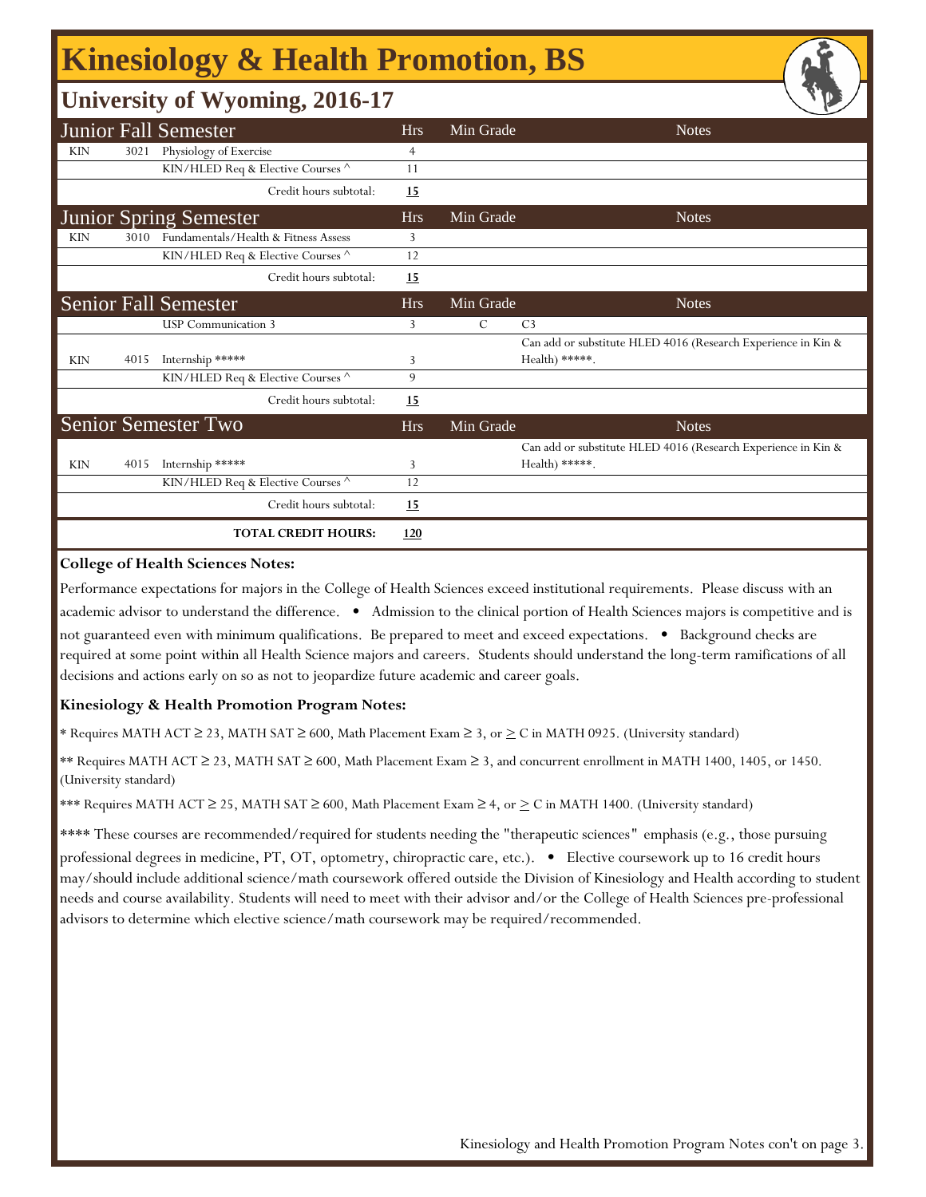# **Kinesiology & Health Promotion, BS**

### **University of Wyoming, 2016-17**

|                               |      | <b>Junior Fall Semester</b>          | <b>Hrs</b>     | Min Grade | <b>Notes</b>                                                                    |
|-------------------------------|------|--------------------------------------|----------------|-----------|---------------------------------------------------------------------------------|
| <b>KIN</b>                    | 3021 | Physiology of Exercise               | $\overline{4}$ |           |                                                                                 |
|                               |      | KIN/HLED Req & Elective Courses ^    | 11             |           |                                                                                 |
|                               |      | Credit hours subtotal:               | <u>15</u>      |           |                                                                                 |
| <b>Junior Spring Semester</b> |      |                                      | <b>Hrs</b>     | Min Grade | <b>Notes</b>                                                                    |
| <b>KIN</b>                    | 3010 | Fundamentals/Health & Fitness Assess | 3              |           |                                                                                 |
|                               |      | KIN/HLED Req & Elective Courses ^    | 12             |           |                                                                                 |
|                               |      | Credit hours subtotal:               | <b>15</b>      |           |                                                                                 |
|                               |      | <b>Senior Fall Semester</b>          | <b>Hrs</b>     | Min Grade | <b>Notes</b>                                                                    |
|                               |      | <b>USP</b> Communication 3           | 3              | C         | C <sub>3</sub>                                                                  |
|                               |      |                                      |                |           | Can add or substitute HLED 4016 (Research Experience in Kin &                   |
| <b>KIN</b>                    | 4015 | Internship *****                     | 3              |           | Health) *****.                                                                  |
|                               |      | KIN/HLED Req & Elective Courses ^    | 9              |           |                                                                                 |
|                               |      | Credit hours subtotal:               | 15             |           |                                                                                 |
|                               |      | Senior Semester Two                  | <b>Hrs</b>     | Min Grade | <b>Notes</b>                                                                    |
| <b>KIN</b>                    | 4015 | Internship *****                     | 3              |           | Can add or substitute HLED 4016 (Research Experience in Kin &<br>Health) *****. |
|                               |      | KIN/HLED Req & Elective Courses ^    | 12             |           |                                                                                 |
|                               |      |                                      |                |           |                                                                                 |
|                               |      | Credit hours subtotal:               | <u>15</u>      |           |                                                                                 |
|                               |      | <b>TOTAL CREDIT HOURS:</b>           | 120            |           |                                                                                 |

#### **College of Health Sciences Notes:**

Performance expectations for majors in the College of Health Sciences exceed institutional requirements. Please discuss with an academic advisor to understand the difference. • Admission to the clinical portion of Health Sciences majors is competitive and is not guaranteed even with minimum qualifications. Be prepared to meet and exceed expectations. • Background checks are required at some point within all Health Science majors and careers. Students should understand the long-term ramifications of all decisions and actions early on so as not to jeopardize future academic and career goals.

#### **Kinesiology & Health Promotion Program Notes:**

\* Requires MATH ACT ≥ 23, MATH SAT ≥ 600, Math Placement Exam ≥ 3, or > C in MATH 0925. (University standard)

\*\* Requires MATH ACT ≥ 23, MATH SAT ≥ 600, Math Placement Exam ≥ 3, and concurrent enrollment in MATH 1400, 1405, or 1450. (University standard)

\*\*\* Requires MATH ACT ≥ 25, MATH SAT ≥ 600, Math Placement Exam ≥ 4, or  $\geq C$  in MATH 1400. (University standard)

\*\*\*\* These courses are recommended/required for students needing the "therapeutic sciences*"* emphasis (e.g., those pursuing professional degrees in medicine, PT, OT, optometry, chiropractic care, etc.). • Elective coursework up to 16 credit hours may/should include additional science/math coursework offered outside the Division of Kinesiology and Health according to student needs and course availability. Students will need to meet with their advisor and/or the College of Health Sciences pre-professional advisors to determine which elective science/math coursework may be required/recommended.